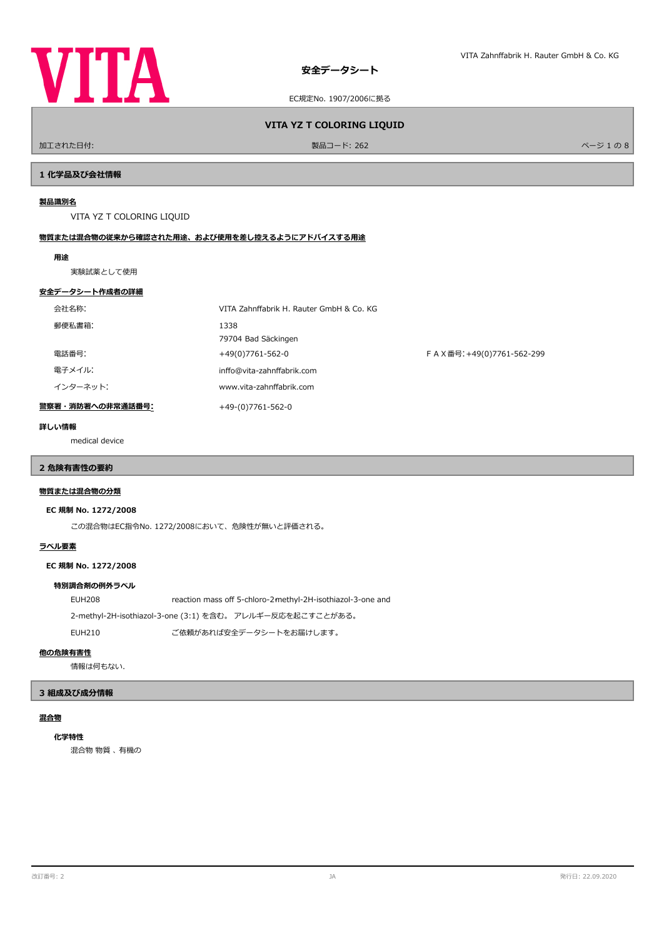

EC規定No. 1907/2006に拠る

加工された日付: フィンディング インディング アイディング・シーク かんきょう かんきょう 製品コード: 262 スポーツ アイディング 1 の 8 8 スポーツ 1 の 8 8 スポーツ 1 の 8 8 スポーツ 1 の 8

**VITA YZ T COLORING LIQUID**

### **1 化学品及び会社情報**

#### **製品識別名**

VITA YZ T COLORING LIQUID

### **物質または混合物の従来から確認された用途、および使用を差し控えるようにアドバイスする用途**

#### **用途**

実験試薬として使用

### **安全データシート作成者の詳細**

| 会社名称:            | VITA Zahnffabrik H. Rauter GmbH & Co. KG |                           |
|------------------|------------------------------------------|---------------------------|
| 郵便私書箱:           | 1338<br>79704 Bad Säckingen              |                           |
| 電話番号:            | +49(0)7761-562-0                         | FAX番号: +49(0)7761-562-299 |
| 電子メイル:           | inffo@vita-zahnffabrik.com               |                           |
| インターネット:         | www.vita-zahnffabrik.com                 |                           |
| 警察署・消防署への非常通話番号: | +49-(0)7761-562-0                        |                           |

### **詳しい情報**

medical device

# **2 危険有害性の要約**

## **物質または混合物の分類**

### **EC 規制 No. 1272/2008**

この混合物はEC指令No. 1272/2008において、危険性が無いと評価される。

### **ラベル要素**

**EC 規制 No. 1272/2008**

### **特別調合剤の例外ラベル**

EUH208 reaction mass off 5-chloro-2-methyl-2H-isothiazol-3-one and

2-methyl-2H-isothiazol-3-one (3:1) を含む。 アレルギー反応を起こすことがある。

EUH210 ご依頼があれば安全データシートをお届けします。

### **他の危険有害性**

情報は何もない.

### **3 組成及び成分情報**

### **混合物**

混合物 物質 、 有機の **化学特性**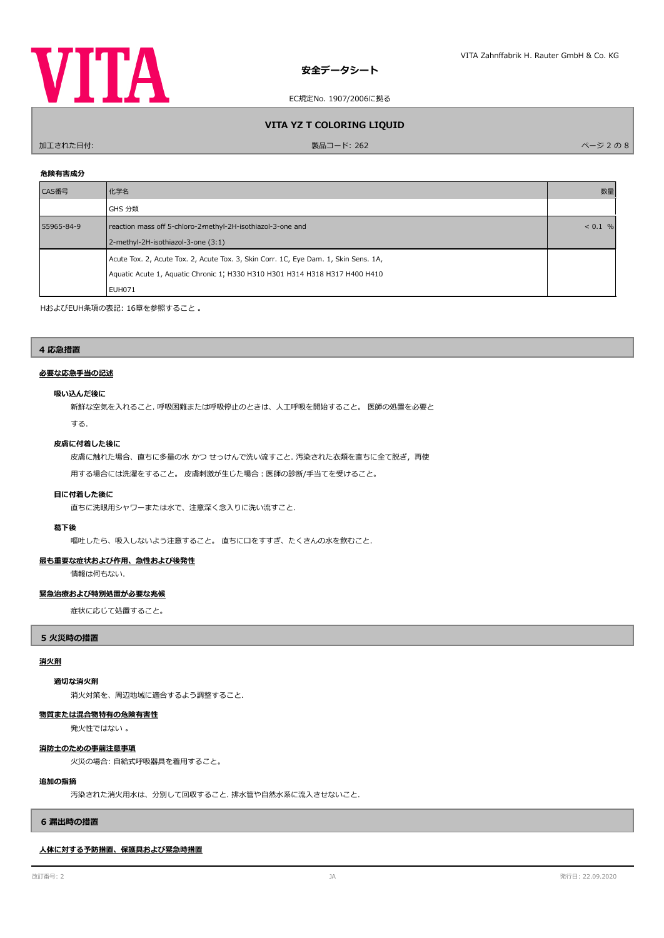

EC規定No. 1907/2006に拠る

### **VITA YZ T COLORING LIQUID**

ールエされた日付: スページ 2 の 8 8 8 8 9 8 8 8 9 8 8 8 9 8 8 9 8 8 9 8 8 9 8 8 9 8 8 9 8 8 9 8 8 9 8 8 9 8 8 9 8 8 9 8 8 9

### **危険有害成分**

| CAS番号      | 化学名                                                                                                                                                                          | 数量 |
|------------|------------------------------------------------------------------------------------------------------------------------------------------------------------------------------|----|
|            | GHS 分類                                                                                                                                                                       |    |
| 55965-84-9 | reaction mass off 5-chloro-2-methyl-2H-isothiazol-3-one and<br>2-methyl-2H-isothiazol-3-one (3:1)                                                                            |    |
|            | Acute Tox. 2, Acute Tox. 2, Acute Tox. 3, Skin Corr. 1C, Eye Dam. 1, Skin Sens. 1A,<br>Aquatic Acute 1, Aquatic Chronic 1; H330 H310 H301 H314 H318 H317 H400 H410<br>EUH071 |    |

HおよびEUH条項の表記: 16章を参照すること 。

#### **4 応急措置**

### **必要な応急手当の記述**

#### **吸い込んだ後に**

新鮮な空気を入れること. 呼吸困難または呼吸停止のときは、人工呼吸を開始すること。 医師の処置を必要と

する.

### **皮膚に付着した後に**

皮膚に触れた場合、直ちに多量の水 かつ せっけんで洗い流すこと. 汚染された衣類を直ちに全て脱ぎ,再使

用する場合には洗濯をすること。 皮膚刺激が生じた場合:医師の診断/手当てを受けること。

### **目に付着した後に**

直ちに洗眼用シャワーまたは水で、注意深く念入りに洗い流すこと.

#### **葛下後**

嘔吐したら、吸入しないよう注意すること。 直ちに口をすすぎ、たくさんの水を飲むこと.

### **最も重要な症状および作用、急性および後発性**

情報は何もない.

### **緊急治療および特別処置が必要な兆候**

症状に応じて処置すること。

#### **5 火災時の措置**

#### **消火剤**

### **適切な消火剤**

消火対策を、周辺地域に適合するよう調整すること.

#### **物質または混合物特有の危険有害性**

発火性ではない 。

### **消防士のための事前注意事項**

火災の場合: 自給式呼吸器具を着用すること。

#### **追加の指摘**

汚染された消火用水は、分別して回収すること. 排水管や自然水系に流入させないこと.

#### **6 漏出時の措置**

### **人体に対する予防措置、保護具および緊急時措置**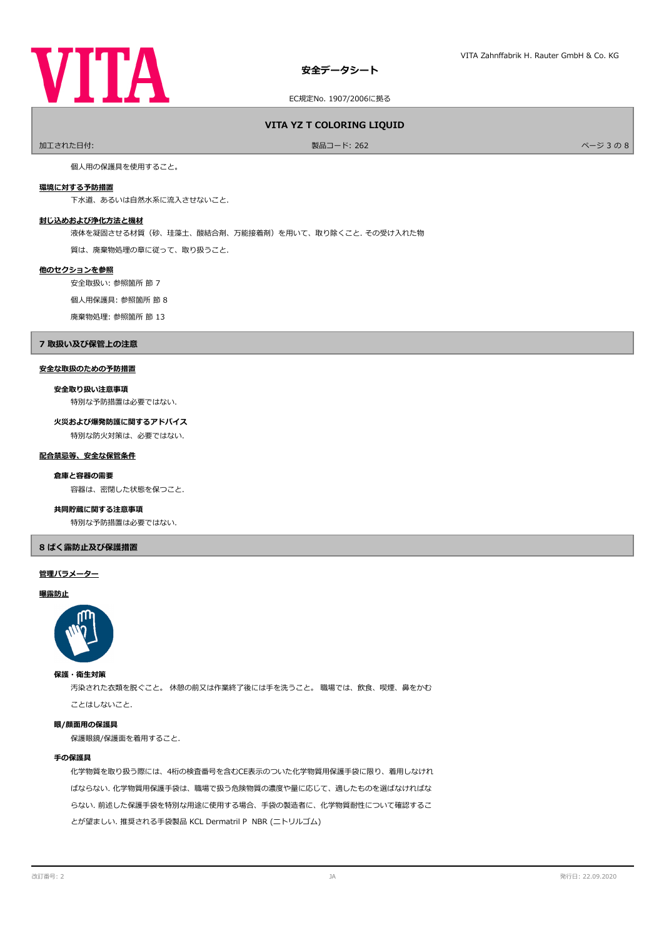

EC規定No. 1907/2006に拠る

### **VITA YZ T COLORING LIQUID**

ールエされた日付: ファイン・ファイル アイディスク あいしゃ あいしゃ あいしゃ かいしゃ 製品コード: 262 プログラム かいしゃ アイディスク しゅうしゅう スタッチ しゅうしょく ページ 3 の 8

個人用の保護具を使用すること。

### **環境に対する予防措置**

下水道、あるいは自然水系に流入させないこと.

### **封じ込めおよび浄化方法と機材**

液体を凝固させる材質(砂、珪藻土、酸結合剤、万能接着剤)を用いて、取り除くこと. その受け入れた物

質は、廃棄物処理の章に従って、取り扱うこと.

#### **他のセクションを参照**

安全取扱い: 参照箇所 節 7

個人用保護具: 参照箇所 節 8

廃棄物処理: 参照箇所 節 13

### **7 取扱い及び保管上の注意**

### **安全な取扱のための予防措置**

### **安全取り扱い注意事項**

特別な予防措置は必要ではない.

### **火災および爆発防護に関するアドバイス**

特別な防火対策は、必要ではない.

#### **配合禁忌等、安全な保管条件**

#### **倉庫と容器の需要**

容器は、密閉した状態を保つこと.

#### **共同貯蔵に関する注意事項**

特別な予防措置は必要ではない.

### **8 ばく露防止及び保護措置**

#### **管理パラメーター**

#### **曝露防止**



#### **保護・衛生対策**

汚染された衣類を脱ぐこと。 休憩の前又は作業終了後には手を洗うこと。 職場では、飲食、喫煙、鼻をかむ ことはしないこと.

#### **眼/顔面用の保護具**

保護眼鏡/保護面を着用すること.

#### **手の保護具**

化学物質を取り扱う際には、4桁の検査番号を含むCE表示のついた化学物質用保護手袋に限り、着用しなけれ ばならない. 化学物質用保護手袋は、職場で扱う危険物質の濃度や量に応じて、適したものを選ばなければな らない. 前述した保護手袋を特別な用途に使用する場合、手袋の製造者に、化学物質耐性について確認するこ とが望ましい. 推奨される手袋製品 KCL Dermatril P NBR (ニトリルゴム)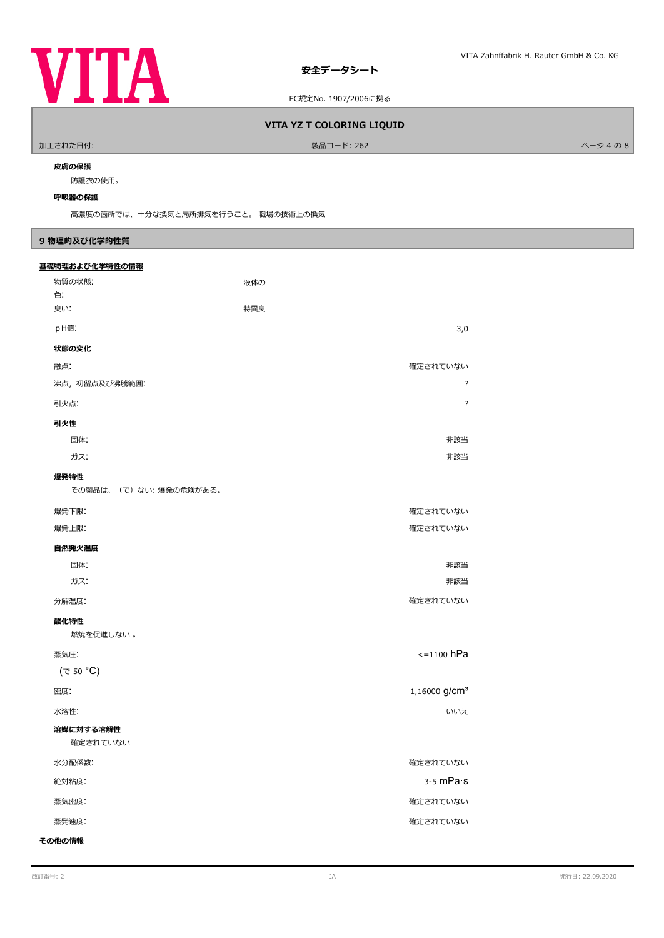

EC規定No. 1907/2006に拠る

### **VITA YZ T COLORING LIQUID**

**製品コード: 262** スピー・コード: インディアン 4 の 8

#### **皮膚の保護**

防護衣の使用。

#### **呼吸器の保護**

高濃度の箇所では、十分な換気と局所排気を行うこと。 職場の技術上の換気

### **9 物理的及び化学的性質**

| 基礎物理および化学特性の情報 |                       |     |                           |
|----------------|-----------------------|-----|---------------------------|
| 物質の状態:         |                       | 液体の |                           |
| 色:<br>臭い!      |                       | 特異臭 |                           |
| pH値:           |                       |     | 3,0                       |
| 状態の変化          |                       |     |                           |
| 融点:            |                       |     | 確定されていない                  |
| 沸点, 初留点及び沸騰範囲: |                       |     | $\overline{?}$            |
| 引火点:           |                       |     | $\overline{?}$            |
| 引火性            |                       |     |                           |
| 固体:            |                       |     | 非該当                       |
| ガス:            |                       |     | 非該当                       |
| 爆発特性           |                       |     |                           |
|                | その製品は、(で)ない:爆発の危険がある。 |     |                           |
| 爆発下限:          |                       |     | 確定されていない                  |
| 爆発上限:          |                       |     | 確定されていない                  |
| 自然発火温度         |                       |     |                           |
| 固体:            |                       |     | 非該当                       |
| ガス:            |                       |     | 非該当                       |
| 分解温度:          |                       |     | 確定されていない                  |
| 酸化特性           |                       |     |                           |
| 燃焼を促進しない。      |                       |     |                           |
| 蒸気圧:           |                       |     | $\le$ =1100 hPa           |
| (で 50 °C)      |                       |     |                           |
| 密度:            |                       |     | 1,16000 g/cm <sup>3</sup> |
| 水溶性:           |                       |     | いいえ                       |
| 溶媒に対する溶解性      |                       |     |                           |
| 確定されていない       |                       |     |                           |
| 水分配係数:         |                       |     | 確定されていない                  |
| 絶対粘度:          |                       |     | $3-5$ mPa $\cdot$ s       |
| 蒸気密度:          |                       |     | 確定されていない                  |
| 蒸発速度:          |                       |     | 確定されていない                  |
| その他の情報         |                       |     |                           |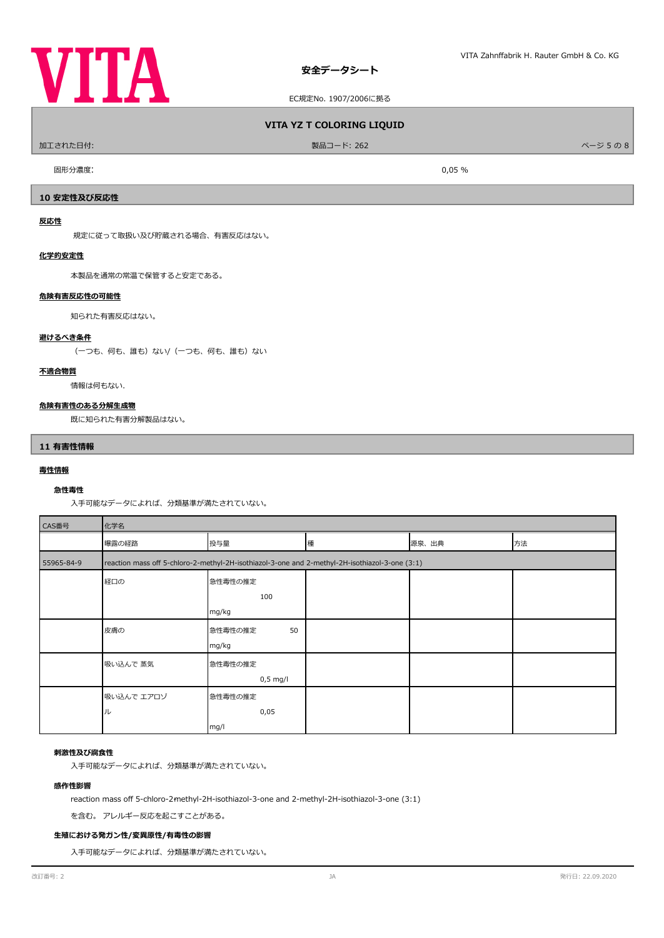

EC規定No. 1907/2006に拠る

### **VITA YZ T COLORING LIQUID**

加工された日付: 製品コード: 262 ページ 5 の 8

ール 国形分濃度: スペン しょうしょう しょうしょう しょうしょう しょうしゅん こうしょう しょうしゅん のりのり のりのり かんしょう しょうしょう しょうしょう

### **10 安定性及び反応性**

### **反応性**

規定に従って取扱い及び貯蔵される場合、有害反応はない。

#### **化学的安定性**

本製品を通常の常温で保管すると安定である。

#### **危険有害反応性の可能性**

知られた有害反応はない。

#### **避けるべき条件**

(一つも、何も、誰も)ない/(一つも、何も、誰も)ない

### **不適合物質**

情報は何もない.

#### **危険有害性のある分解生成物**

既に知られた有害分解製品はない。

#### **11 有害性情報**

### **毒性情報**

### **急性毒性**

入手可能なデータによれば、分類基準が満たされていない。

| CAS番号                                                                                                        | 化学名        |               |   |       |    |
|--------------------------------------------------------------------------------------------------------------|------------|---------------|---|-------|----|
|                                                                                                              | 曝露の経路      | 投与量           | 種 | 源泉、出典 | 方法 |
| reaction mass off 5-chloro-2-methyl-2H-isothiazol-3-one and 2-methyl-2H-isothiazol-3-one (3:1)<br>55965-84-9 |            |               |   |       |    |
|                                                                                                              | 経口の        | 急性毒性の推定       |   |       |    |
|                                                                                                              |            | 100           |   |       |    |
|                                                                                                              |            | mg/kg         |   |       |    |
|                                                                                                              | 皮膚の        | 50<br>急性毒性の推定 |   |       |    |
|                                                                                                              |            | mg/kg         |   |       |    |
|                                                                                                              | 吸い込んで 蒸気   | 急性毒性の推定       |   |       |    |
|                                                                                                              |            | $0,5$ mg/l    |   |       |    |
|                                                                                                              | 吸い込んで エアロゾ | 急性毒性の推定       |   |       |    |
|                                                                                                              | ル          | 0,05          |   |       |    |
|                                                                                                              |            | mg/l          |   |       |    |

### **刺激性及び腐食性**

入手可能なデータによれば、分類基準が満たされていない。

#### **感作性影響**

reaction mass off 5-chloro-2-methyl-2H-isothiazol-3-one and 2-methyl-2H-isothiazol-3-one (3:1)

を含む。 アレルギー反応を起こすことがある。

### **生殖における発ガン性/変異原性/有毒性の影響**

入手可能なデータによれば、分類基準が満たされていない。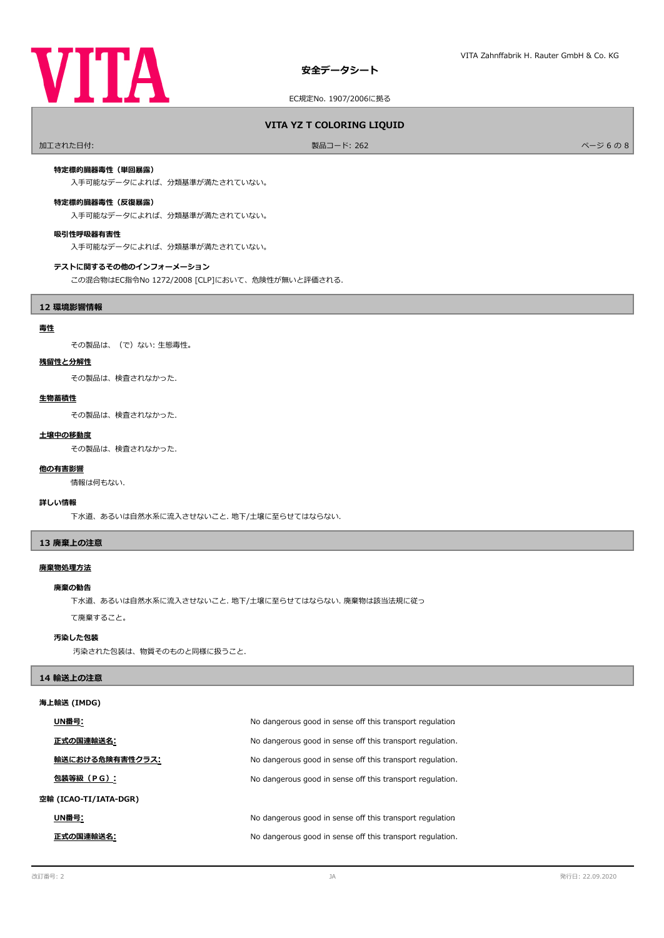

EC規定No. 1907/2006に拠る

### **VITA YZ T COLORING LIQUID**

加工された日付: 製品コード: 262 ページ 6 の 8

### **特定標的臓器毒性(単回暴露)**

入手可能なデータによれば、分類基準が満たされていない。

#### **特定標的臓器毒性(反復暴露)**

入手可能なデータによれば、分類基準が満たされていない。

#### **吸引性呼吸器有害性**

入手可能なデータによれば、分類基準が満たされていない。

#### **テストに関するその他のインフォーメーション**

この混合物はEC指令No 1272/2008 [CLP]において、危険性が無いと評価される.

### **12 環境影響情報**

### **毒性**

その製品は、(で)ない: 生態毒性。

#### **残留性と分解性**

その製品は、検査されなかった.

#### **生物蓄積性**

その製品は、検査されなかった.

#### **土壌中の移動度**

その製品は、検査されなかった.

### 情報は何もない. **他の有害影響**

#### **詳しい情報**

下水道、あるいは自然水系に流入させないこと. 地下/土壌に至らせてはならない.

#### **13 廃棄上の注意**

#### **廃棄物処理方法**

#### **廃棄の勧告**

下水道、あるいは自然水系に流入させないこと. 地下/土壌に至らせてはならない. 廃棄物は該当法規に従っ

### て廃棄すること。

### **汚染した包装**

汚染された包装は、物質そのものと同様に扱うこと.

#### **14 輸送上の注意**

### **海上輸送 (IMDG)**

| UN番号:                 | No dangerous good in sense off this transport regulation  |  |
|-----------------------|-----------------------------------------------------------|--|
| 正式の国連輸送名:             | No dangerous good in sense off this transport regulation. |  |
| 輸送における危険有害性クラス:       | No dangerous good in sense off this transport regulation. |  |
| 包装等級(PG):             | No dangerous good in sense off this transport regulation. |  |
| 空輸 (ICAO-TI/IATA-DGR) |                                                           |  |
| UN番号:                 | No dangerous good in sense off this transport regulation  |  |
| 正式の国連輸送名:             | No dangerous good in sense off this transport regulation. |  |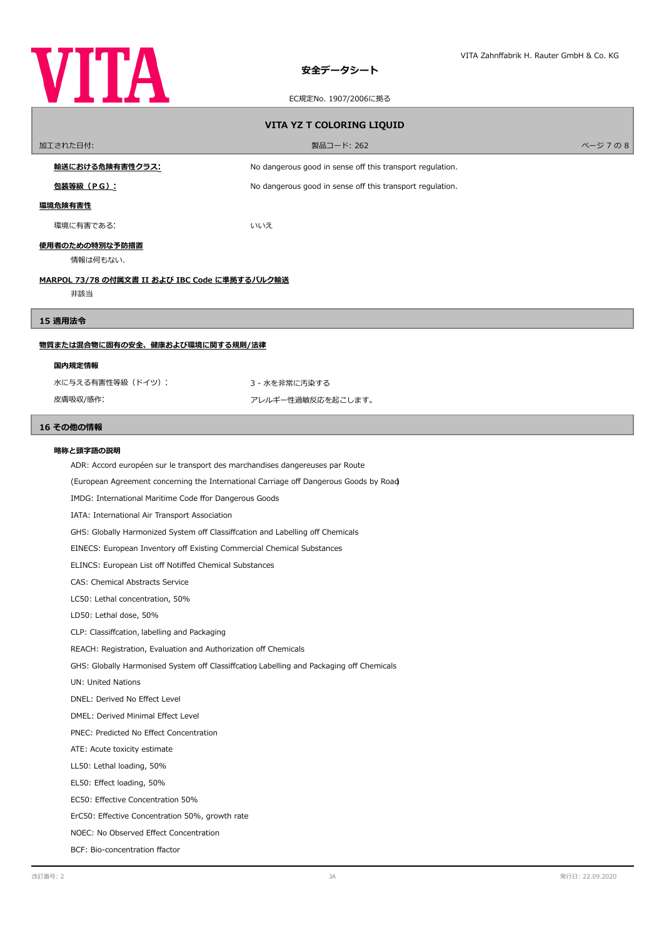

### EC規定No. 1907/2006に拠る

| VITA YZ T COLORING LIQUID                                                                |                                                           |         |  |
|------------------------------------------------------------------------------------------|-----------------------------------------------------------|---------|--|
| 加工された日付:                                                                                 | 製品コード: 262                                                | ページ 7の8 |  |
| <u>輸送における危険有害性クラス:</u>                                                                   | No dangerous good in sense off this transport regulation. |         |  |
| <u>包装等級(PG):</u>                                                                         | No dangerous good in sense off this transport regulation. |         |  |
| 環境危険有害性                                                                                  |                                                           |         |  |
| 環境に有害である:                                                                                | いいえ                                                       |         |  |
| 使用者のための特別な予防措置                                                                           |                                                           |         |  |
| 情報は何もない.                                                                                 |                                                           |         |  |
| <u>MARPOL 73/78 の付属文書 II および IBC Code に準拠するバルク輸送</u><br>非該当                              |                                                           |         |  |
|                                                                                          |                                                           |         |  |
| 15 適用法令                                                                                  |                                                           |         |  |
| <u>物質または混合物に固有の安全、健康および環境に関する規則/法律</u>                                                   |                                                           |         |  |
| 国内規定情報                                                                                   |                                                           |         |  |
| 水に与える有害性等級 (ドイツ):                                                                        | 3 - 水を非常に汚染する                                             |         |  |
| 皮膚吸収/感作:                                                                                 | アレルギー性過敏反応を起こします。                                         |         |  |
| 16 その他の情報                                                                                |                                                           |         |  |
| 略称と頭字語の説明                                                                                |                                                           |         |  |
| ADR: Accord européen sur le transport des marchandises dangereuses par Route             |                                                           |         |  |
| (European Agreement concerning the International Carriage off Dangerous Goods by Road)   |                                                           |         |  |
| IMDG: International Maritime Code ffor Dangerous Goods                                   |                                                           |         |  |
| IATA: International Air Transport Association                                            |                                                           |         |  |
| GHS: Globally Harmonized System off Classiffcation and Labelling off Chemicals           |                                                           |         |  |
| EINECS: European Inventory off Existing Commercial Chemical Substances                   |                                                           |         |  |
| ELINCS: European List off Notiffed Chemical Substances                                   |                                                           |         |  |
| CAS: Chemical Abstracts Service                                                          |                                                           |         |  |
| LC50: Lethal concentration, 50%                                                          |                                                           |         |  |
| LD50: Lethal dose, 50%                                                                   |                                                           |         |  |
| CLP: Classiffcation, labelling and Packaging                                             |                                                           |         |  |
| REACH: Registration, Evaluation and Authorization off Chemicals                          |                                                           |         |  |
| GHS: Globally Harmonised System off Classiffcation Labelling and Packaging off Chemicals |                                                           |         |  |
| <b>UN: United Nations</b>                                                                |                                                           |         |  |
| DNEL: Derived No Effect Level                                                            |                                                           |         |  |
| DMEL: Derived Minimal Effect Level                                                       |                                                           |         |  |
| PNEC: Predicted No Effect Concentration                                                  |                                                           |         |  |
| ATE: Acute toxicity estimate                                                             |                                                           |         |  |
| LL50: Lethal loading, 50%                                                                |                                                           |         |  |
| EL50: Effect loading, 50%                                                                |                                                           |         |  |
| EC50: Effective Concentration 50%                                                        |                                                           |         |  |
| ErC50: Effective Concentration 50%, growth rate                                          |                                                           |         |  |
| NOEC: No Observed Effect Concentration                                                   |                                                           |         |  |
| BCF: Bio-concentration ffactor                                                           |                                                           |         |  |